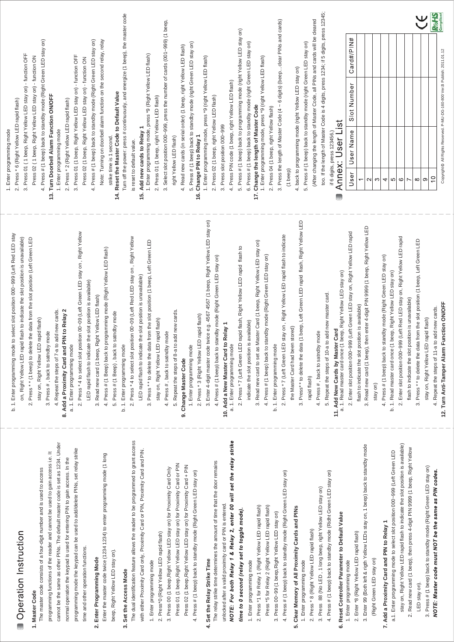# **DG-160 DG-800**

# **Stand Alone Reader Operation Manual**



## **Features**

- 1. Memory volume up to 1000+10 proximity cards/tokens and PINs. Reading time approx. 0.5 seconds.
- 2. Access modes:
- a. Only Proximity Card
- b. PIN or Proximity Card (default setting)
- c. PIN + Proximity Card
- 3. Logical memory prevents duplicated card setting.
- 4. Lockout Function: The controller will lockout for 60 seconds after entering invalid PINs or reading invalid cards for 5 times. (The keypad doesn't beep during the period of time).
- 5. Controller with keypad sound to avoid incorrect key-in.
- 6. Additional input for anti-tailgating function to ensure high security access control.
- 7. Built-in anti-tamper switch.
- 8. Non-volatile memory stores all code settings, even in the event of total power failure or controller not in use for a long time.
- 9. Dual relays to control door lock and other security devices.
- 10. Aluminum alloy casing with vandal resistant screws for enhanced safety and durability.
- 11. Epoxy sealed for waterproof.
- 12. Slim-type keypad design for narrow door-frames (DG-160).

# Specification

| <b>Operating Voltage</b>     | 12~24VAC/DC                                                                               |  |  |
|------------------------------|-------------------------------------------------------------------------------------------|--|--|
| <b>Current Draw</b>          | DG-160: Pull In:60mA/12VDC, Holding:40mA/12VDC<br>Pull In:30mA/24VDC,Holding:20mA/24VDC   |  |  |
|                              | DG-800: Pull In:100mA/12VDC, Holding: 70mA/12VDC<br>Pull In:50mA/24VDC,Holding:35mA/24VDC |  |  |
| <b>RF Frequency</b>          | <b>EM 125KHz</b>                                                                          |  |  |
| Read Range                   | 5 cm (In noise-free environment)                                                          |  |  |
| Keypad                       | Backlight 12-digit $(0-9, *, #)$                                                          |  |  |
| Input                        | 2 contacts for Request To-Exit button                                                     |  |  |
|                              | 1 contact for door reed switch                                                            |  |  |
| Output                       | 2 relays (Dry contacts: N.O./N.C./Com.)                                                   |  |  |
| <b>LED Status Indication</b> | 2 LED indicators display (Red/Green)                                                      |  |  |
| Memory Volume                | 1000+10 proximity cards/tokens and PINs                                                   |  |  |
| <b>Relay Rating</b>          | Max.2A/30VDC; 0.6A/120VAC                                                                 |  |  |
| Relay Strike Time            | 01~99 seconds or Toggle Mode (00)                                                         |  |  |
| <b>Ambient Humidity</b>      | 5%~95% (Non-condensing)                                                                   |  |  |
| <b>Operating Temperature</b> | $-20^{\circ}$ C~70 $^{\circ}$ C                                                           |  |  |

# Indicator Status & Default Setting Parameters

## Beep & LED Indication:

|      | Mode                    | Signal              | <b>Status</b>                                     |  |
|------|-------------------------|---------------------|---------------------------------------------------|--|
| LED  | Standby                 | Right Green Stay On | Power on, Standby                                 |  |
|      |                         | All LEDs Stay On    | First relay active                                |  |
|      |                         | Red Stay On         | Second relay active                               |  |
|      |                         | Yellow Stay On      | Enter programming mode                            |  |
|      | Programming Red Stay On | Green Stay On       | The slot position of first relay is available.    |  |
|      |                         |                     | The slot position of first relay is unavailable.  |  |
|      |                         | Green Stay On       | The slot position of second relay is available.   |  |
|      |                         | Red Stay On         | The slot position of second relay is unavailable. |  |
|      | Standby                 | 1 Beep              | Valid card, press key, enter programming mode     |  |
| Beep |                         | 3 Beeps             | Invalid card, incorrect PIN                       |  |
|      | Programming             | 1 Beep              | Correct Input data, Exit programming mode         |  |
|      |                         | 3 Beeps             | Incorrect Input data, other incorrect operation,  |  |
|      |                         |                     | duplicated card setting                           |  |

## **Factory Default Setting:**

| Access Mode                            | PIN or Proximity Card |  |
|----------------------------------------|-----------------------|--|
| Format                                 | All Bits              |  |
| Card Storage (MAX. 1000+10pcs)         | <b>None</b>           |  |
| Master Code                            | 1234 (4 digits)       |  |
| Relay Strike Time (Time Delay Setting) | 1 second              |  |
| Pressed Key Time Delay                 | 5 seconds (Fixed)     |  |
| PIN Code Input Waiting Time            | 5 seconds             |  |
| Programming Mode Time Delay            | 30 seconds (Fixed)    |  |

# **Wiring Diagram**





|  | Red            | ٠               | Yellow       | PB <sub>2</sub>  |
|--|----------------|-----------------|--------------|------------------|
|  | <b>Black</b>   |                 | <b>Brown</b> | <b>REED</b>      |
|  | Light<br>Green | N.C.1           | Gray         | N.C.2            |
|  | Pink           | COM1            | Purple       | COM <sub>2</sub> |
|  | White          | N.O.1           | Blue         | N.O.2            |
|  | Orange         | PB <sub>1</sub> | Green        | <b>GND</b>       |

### Note:

- 1. It is suggested to use a linear power supply unit to prevent reading range reduction at the card reader.
- 2. It is suggested to use #22~26 AWG insulation wire.
- 3. Exit button is at N.O. contact.
- 4. With CE qualification EMC specification.
- 5. The door strike or relay must have a varistor or a diode across the door strike terminals to suppress the back EMF of the strike - failure to do so will damage the relay contacts and electronic components, or even burn the controller.

## Warranty:

The product is warranted against defects in material and workmanship while used in normal service for a period of 1 year from the date of sale to the original customer. The GEM policy is one of continual development and improvement; therefore GEM reserves the right to change specifications without notice.